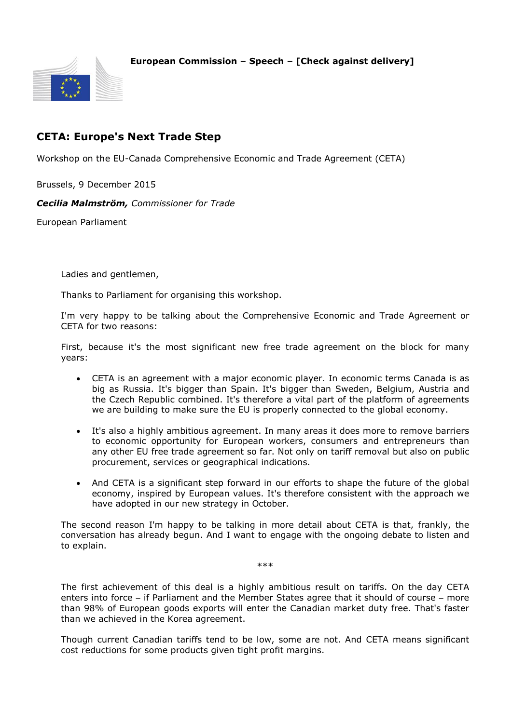## **European Commission – Speech – [Check against delivery]**



## **CETA: Europe's Next Trade Step**

Workshop on the EU-Canada Comprehensive Economic and Trade Agreement (CETA)

Brussels, 9 December 2015

*Cecilia Malmström, Commissioner for Trade*

European Parliament

Ladies and gentlemen,

Thanks to Parliament for organising this workshop.

I'm very happy to be talking about the Comprehensive Economic and Trade Agreement or CETA for two reasons:

First, because it's the most significant new free trade agreement on the block for many years:

- CETA is an agreement with a major economic player. In economic terms Canada is as big as Russia. It's bigger than Spain. It's bigger than Sweden, Belgium, Austria and the Czech Republic combined. It's therefore a vital part of the platform of agreements we are building to make sure the EU is properly connected to the global economy.
- It's also a highly ambitious agreement. In many areas it does more to remove barriers to economic opportunity for European workers, consumers and entrepreneurs than any other EU free trade agreement so far. Not only on tariff removal but also on public procurement, services or geographical indications.
- And CETA is a significant step forward in our efforts to shape the future of the global economy, inspired by European values. It's therefore consistent with the approach we have adopted in our new strategy in October.

The second reason I'm happy to be talking in more detail about CETA is that, frankly, the conversation has already begun. And I want to engage with the ongoing debate to listen and to explain.

\*\*\*

The first achievement of this deal is a highly ambitious result on tariffs. On the day CETA enters into force  $-$  if Parliament and the Member States agree that it should of course  $-$  more than 98% of European goods exports will enter the Canadian market duty free. That's faster than we achieved in the Korea agreement.

Though current Canadian tariffs tend to be low, some are not. And CETA means significant cost reductions for some products given tight profit margins.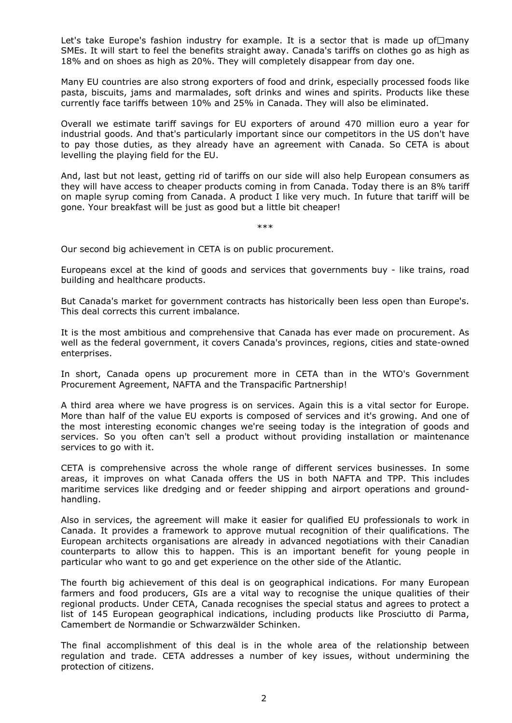Let's take Europe's fashion industry for example. It is a sector that is made up of  $\Box$ many SMEs. It will start to feel the benefits straight away. Canada's tariffs on clothes go as high as 18% and on shoes as high as 20%. They will completely disappear from day one.

Many EU countries are also strong exporters of food and drink, especially processed foods like pasta, biscuits, jams and marmalades, soft drinks and wines and spirits. Products like these currently face tariffs between 10% and 25% in Canada. They will also be eliminated.

Overall we estimate tariff savings for EU exporters of around 470 million euro a year for industrial goods. And that's particularly important since our competitors in the US don't have to pay those duties, as they already have an agreement with Canada. So CETA is about levelling the playing field for the EU.

And, last but not least, getting rid of tariffs on our side will also help European consumers as they will have access to cheaper products coming in from Canada. Today there is an 8% tariff on maple syrup coming from Canada. A product I like very much. In future that tariff will be gone. Your breakfast will be just as good but a little bit cheaper!

\*\*\*

Our second big achievement in CETA is on public procurement.

Europeans excel at the kind of goods and services that governments buy - like trains, road building and healthcare products.

But Canada's market for government contracts has historically been less open than Europe's. This deal corrects this current imbalance.

It is the most ambitious and comprehensive that Canada has ever made on procurement. As well as the federal government, it covers Canada's provinces, regions, cities and state-owned enterprises.

In short, Canada opens up procurement more in CETA than in the WTO's Government Procurement Agreement, NAFTA and the Transpacific Partnership!

A third area where we have progress is on services. Again this is a vital sector for Europe. More than half of the value EU exports is composed of services and it's growing. And one of the most interesting economic changes we're seeing today is the integration of goods and services. So you often can't sell a product without providing installation or maintenance services to go with it.

CETA is comprehensive across the whole range of different services businesses. In some areas, it improves on what Canada offers the US in both NAFTA and TPP. This includes maritime services like dredging and or feeder shipping and airport operations and groundhandling.

Also in services, the agreement will make it easier for qualified EU professionals to work in Canada. It provides a framework to approve mutual recognition of their qualifications. The European architects organisations are already in advanced negotiations with their Canadian counterparts to allow this to happen. This is an important benefit for young people in particular who want to go and get experience on the other side of the Atlantic.

The fourth big achievement of this deal is on geographical indications. For many European farmers and food producers, GIs are a vital way to recognise the unique qualities of their regional products. Under CETA, Canada recognises the special status and agrees to protect a list of 145 European geographical indications, including products like Prosciutto di Parma, Camembert de Normandie or Schwarzwälder Schinken.

The final accomplishment of this deal is in the whole area of the relationship between regulation and trade. CETA addresses a number of key issues, without undermining the protection of citizens.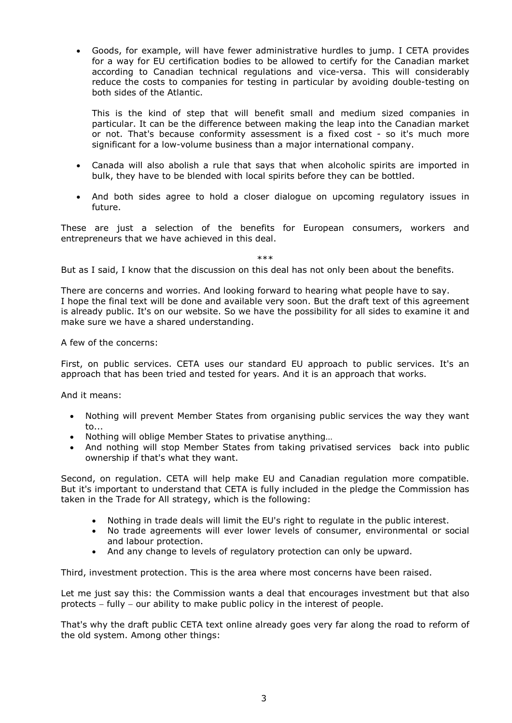Goods, for example, will have fewer administrative hurdles to jump. I CETA provides for a way for EU certification bodies to be allowed to certify for the Canadian market according to Canadian technical regulations and vice-versa. This will considerably reduce the costs to companies for testing in particular by avoiding double-testing on both sides of the Atlantic.

This is the kind of step that will benefit small and medium sized companies in particular. It can be the difference between making the leap into the Canadian market or not. That's because conformity assessment is a fixed cost - so it's much more significant for a low-volume business than a major international company.

- Canada will also abolish a rule that says that when alcoholic spirits are imported in bulk, they have to be blended with local spirits before they can be bottled.
- And both sides agree to hold a closer dialogue on upcoming regulatory issues in future.

These are just a selection of the benefits for European consumers, workers and entrepreneurs that we have achieved in this deal.

\*\*\*

But as I said, I know that the discussion on this deal has not only been about the benefits.

There are concerns and worries. And looking forward to hearing what people have to say. I hope the final text will be done and available very soon. But the draft text of this agreement is already public. It's on our website. So we have the possibility for all sides to examine it and make sure we have a shared understanding.

A few of the concerns:

First, on public services. CETA uses our standard EU approach to public services. It's an approach that has been tried and tested for years. And it is an approach that works.

And it means:

- Nothing will prevent Member States from organising public services the way they want to...
- Nothing will oblige Member States to privatise anything…
- And nothing will stop Member States from taking privatised services back into public ownership if that's what they want.

Second, on regulation. CETA will help make EU and Canadian regulation more compatible. But it's important to understand that CETA is fully included in the pledge the Commission has taken in the Trade for All strategy, which is the following:

- Nothing in trade deals will limit the EU's right to regulate in the public interest.
- No trade agreements will ever lower levels of consumer, environmental or social and labour protection.
- And any change to levels of regulatory protection can only be upward.

Third, investment protection. This is the area where most concerns have been raised.

Let me just say this: the Commission wants a deal that encourages investment but that also protects – fully – our ability to make public policy in the interest of people.

That's why the draft public CETA text online already goes very far along the road to reform of the old system. Among other things: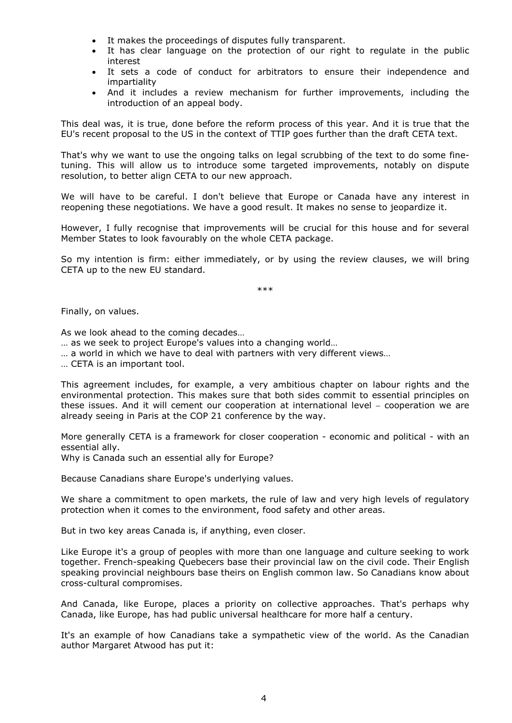- It makes the proceedings of disputes fully transparent.
- It has clear language on the protection of our right to regulate in the public interest
- It sets a code of conduct for arbitrators to ensure their independence and impartiality
- And it includes a review mechanism for further improvements, including the introduction of an appeal body.

This deal was, it is true, done before the reform process of this year. And it is true that the EU's recent proposal to the US in the context of TTIP goes further than the draft CETA text.

That's why we want to use the ongoing talks on legal scrubbing of the text to do some finetuning. This will allow us to introduce some targeted improvements, notably on dispute resolution, to better align CETA to our new approach.

We will have to be careful. I don't believe that Europe or Canada have any interest in reopening these negotiations. We have a good result. It makes no sense to jeopardize it.

However, I fully recognise that improvements will be crucial for this house and for several Member States to look favourably on the whole CETA package.

So my intention is firm: either immediately, or by using the review clauses, we will bring CETA up to the new EU standard.

\*\*\*

Finally, on values.

As we look ahead to the coming decades…

- … as we seek to project Europe's values into a changing world…
- … a world in which we have to deal with partners with very different views…

… CETA is an important tool.

This agreement includes, for example, a very ambitious chapter on labour rights and the environmental protection. This makes sure that both sides commit to essential principles on these issues. And it will cement our cooperation at international level  $-$  cooperation we are already seeing in Paris at the COP 21 conference by the way.

More generally CETA is a framework for closer cooperation - economic and political - with an essential ally.

Why is Canada such an essential ally for Europe?

Because Canadians share Europe's underlying values.

We share a commitment to open markets, the rule of law and very high levels of regulatory protection when it comes to the environment, food safety and other areas.

But in two key areas Canada is, if anything, even closer.

Like Europe it's a group of peoples with more than one language and culture seeking to work together. French-speaking Quebecers base their provincial law on the civil code. Their English speaking provincial neighbours base theirs on English common law. So Canadians know about cross-cultural compromises.

And Canada, like Europe, places a priority on collective approaches. That's perhaps why Canada, like Europe, has had public universal healthcare for more half a century.

It's an example of how Canadians take a sympathetic view of the world. As the Canadian author Margaret Atwood has put it: